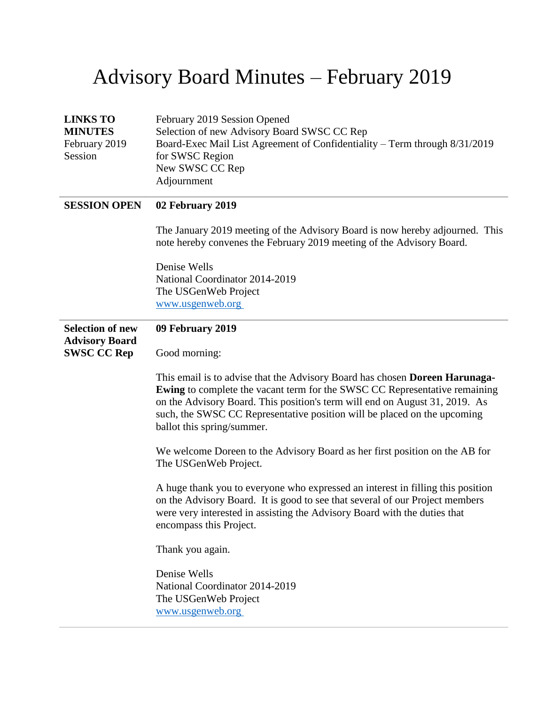## Advisory Board Minutes – February 2019

| <b>LINKS TO</b>                                  | February 2019 Session Opened                                                                                                                                                                                                                                                                                                                              |
|--------------------------------------------------|-----------------------------------------------------------------------------------------------------------------------------------------------------------------------------------------------------------------------------------------------------------------------------------------------------------------------------------------------------------|
| <b>MINUTES</b>                                   | Selection of new Advisory Board SWSC CC Rep                                                                                                                                                                                                                                                                                                               |
| February 2019<br>Session                         | Board-Exec Mail List Agreement of Confidentiality - Term through 8/31/2019<br>for SWSC Region                                                                                                                                                                                                                                                             |
|                                                  | New SWSC CC Rep                                                                                                                                                                                                                                                                                                                                           |
|                                                  | Adjournment                                                                                                                                                                                                                                                                                                                                               |
|                                                  |                                                                                                                                                                                                                                                                                                                                                           |
| <b>SESSION OPEN</b>                              | 02 February 2019                                                                                                                                                                                                                                                                                                                                          |
|                                                  | The January 2019 meeting of the Advisory Board is now hereby adjourned. This<br>note hereby convenes the February 2019 meeting of the Advisory Board.                                                                                                                                                                                                     |
|                                                  | Denise Wells                                                                                                                                                                                                                                                                                                                                              |
|                                                  | National Coordinator 2014-2019                                                                                                                                                                                                                                                                                                                            |
|                                                  | The USGenWeb Project                                                                                                                                                                                                                                                                                                                                      |
|                                                  | www.usgenweb.org                                                                                                                                                                                                                                                                                                                                          |
| <b>Selection of new</b><br><b>Advisory Board</b> | 09 February 2019                                                                                                                                                                                                                                                                                                                                          |
| <b>SWSC CC Rep</b>                               | Good morning:                                                                                                                                                                                                                                                                                                                                             |
|                                                  | This email is to advise that the Advisory Board has chosen Doreen Harunaga-<br><b>Ewing</b> to complete the vacant term for the SWSC CC Representative remaining<br>on the Advisory Board. This position's term will end on August 31, 2019. As<br>such, the SWSC CC Representative position will be placed on the upcoming<br>ballot this spring/summer. |
|                                                  | We welcome Doreen to the Advisory Board as her first position on the AB for<br>The USGenWeb Project.                                                                                                                                                                                                                                                      |
|                                                  | A huge thank you to everyone who expressed an interest in filling this position<br>on the Advisory Board. It is good to see that several of our Project members<br>were very interested in assisting the Advisory Board with the duties that<br>encompass this Project.                                                                                   |
|                                                  | Thank you again.                                                                                                                                                                                                                                                                                                                                          |
|                                                  | Denise Wells                                                                                                                                                                                                                                                                                                                                              |
|                                                  | National Coordinator 2014-2019                                                                                                                                                                                                                                                                                                                            |
|                                                  | The USGenWeb Project                                                                                                                                                                                                                                                                                                                                      |
|                                                  | www.usgenweb.org                                                                                                                                                                                                                                                                                                                                          |
|                                                  |                                                                                                                                                                                                                                                                                                                                                           |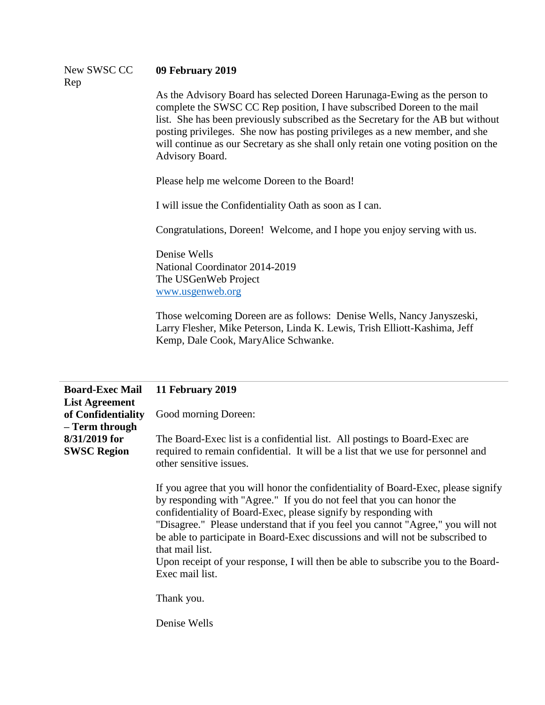| New SWSC CC | 09 February 2019                                                                                                                                      |
|-------------|-------------------------------------------------------------------------------------------------------------------------------------------------------|
| Rep         |                                                                                                                                                       |
|             | As the Advisory Board has selected Doreen Harunaga-Ewing as the person to<br>complete the CWCC CC Dep position I have subscribed December to the meil |

complete the SWSC CC Rep position, I have subscribed Doreen to the mail list. She has been previously subscribed as the Secretary for the AB but without posting privileges. She now has posting privileges as a new member, and she will continue as our Secretary as she shall only retain one voting position on the Advisory Board.

Please help me welcome Doreen to the Board!

I will issue the Confidentiality Oath as soon as I can.

Congratulations, Doreen! Welcome, and I hope you enjoy serving with us.

Denise Wells National Coordinator 2014-2019 The USGenWeb Project [www.usgenweb.org](http://www.usgenweb.org/)

Those welcoming Doreen are as follows: Denise Wells, Nancy Janyszeski, Larry Flesher, Mike Peterson, Linda K. Lewis, Trish Elliott-Kashima, Jeff Kemp, Dale Cook, MaryAlice Schwanke.

| <b>Board-Exec Mail</b><br><b>List Agreement</b> | 11 February 2019                                                                                                                                                                                                                                                                                                                                                                                                                                                                                                                              |
|-------------------------------------------------|-----------------------------------------------------------------------------------------------------------------------------------------------------------------------------------------------------------------------------------------------------------------------------------------------------------------------------------------------------------------------------------------------------------------------------------------------------------------------------------------------------------------------------------------------|
| of Confidentiality<br>- Term through            | Good morning Doreen:                                                                                                                                                                                                                                                                                                                                                                                                                                                                                                                          |
| 8/31/2019 for<br><b>SWSC Region</b>             | The Board-Exec list is a confidential list. All postings to Board-Exec are<br>required to remain confidential. It will be a list that we use for personnel and<br>other sensitive issues.                                                                                                                                                                                                                                                                                                                                                     |
|                                                 | If you agree that you will honor the confidentiality of Board-Exec, please signify<br>by responding with "Agree." If you do not feel that you can honor the<br>confidentiality of Board-Exec, please signify by responding with<br>"Disagree." Please understand that if you feel you cannot "Agree," you will not<br>be able to participate in Board-Exec discussions and will not be subscribed to<br>that mail list.<br>Upon receipt of your response, I will then be able to subscribe you to the Board-<br>Exec mail list.<br>Thank you. |
|                                                 | Denise Wells                                                                                                                                                                                                                                                                                                                                                                                                                                                                                                                                  |